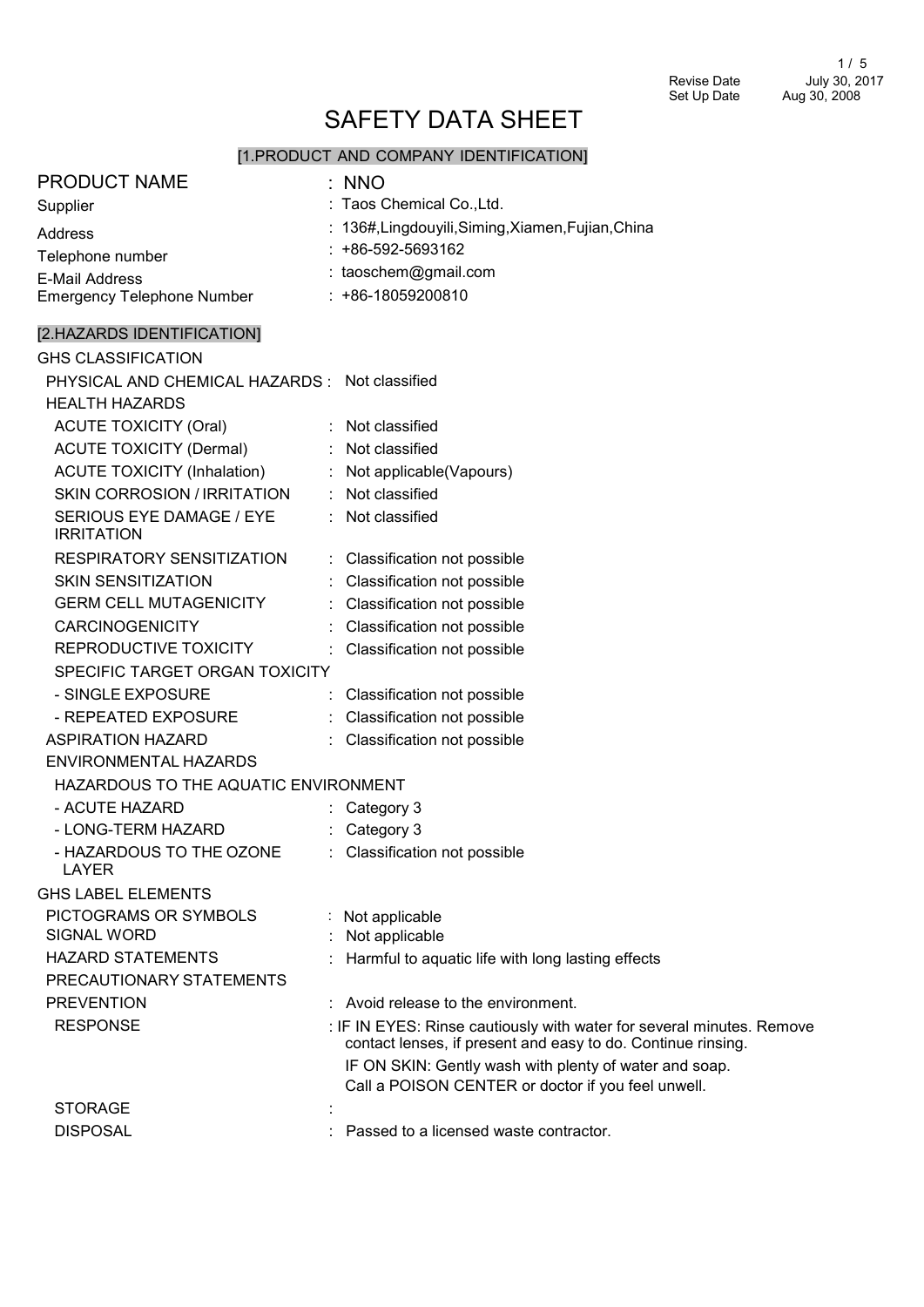# SAFETY DATA SHEET

# [1.PRODUCT AND COMPANY IDENTIFICATION]

| <b>PRODUCT NAME</b>                           | : NNO                                                                                                                                 |
|-----------------------------------------------|---------------------------------------------------------------------------------------------------------------------------------------|
| Supplier                                      | : Taos Chemical Co., Ltd.                                                                                                             |
| Address                                       | : 136#, Lingdouyili, Siming, Xiamen, Fujian, China                                                                                    |
| Telephone number                              | $: +86-592-5693162$                                                                                                                   |
| <b>E-Mail Address</b>                         | : taoschem@gmail.com                                                                                                                  |
| Emergency Telephone Number                    | $: +86-18059200810$                                                                                                                   |
| [2.HAZARDS IDENTIFICATION]                    |                                                                                                                                       |
| <b>GHS CLASSIFICATION</b>                     |                                                                                                                                       |
| PHYSICAL AND CHEMICAL HAZARDS: Not classified |                                                                                                                                       |
| <b>HEALTH HAZARDS</b>                         |                                                                                                                                       |
| <b>ACUTE TOXICITY (Oral)</b>                  | : Not classified                                                                                                                      |
| <b>ACUTE TOXICITY (Dermal)</b>                | : Not classified                                                                                                                      |
| <b>ACUTE TOXICITY (Inhalation)</b>            | : Not applicable(Vapours)                                                                                                             |
| SKIN CORROSION / IRRITATION                   | : Not classified                                                                                                                      |
| SERIOUS EYE DAMAGE / EYE<br><b>IRRITATION</b> | : Not classified                                                                                                                      |
| RESPIRATORY SENSITIZATION                     | : Classification not possible                                                                                                         |
| <b>SKIN SENSITIZATION</b>                     | Classification not possible                                                                                                           |
| <b>GERM CELL MUTAGENICITY</b>                 | Classification not possible                                                                                                           |
| <b>CARCINOGENICITY</b>                        | Classification not possible                                                                                                           |
| REPRODUCTIVE TOXICITY                         | : Classification not possible                                                                                                         |
| SPECIFIC TARGET ORGAN TOXICITY                |                                                                                                                                       |
| - SINGLE EXPOSURE                             | Classification not possible                                                                                                           |
| - REPEATED EXPOSURE                           | : Classification not possible                                                                                                         |
| <b>ASPIRATION HAZARD</b>                      | : Classification not possible                                                                                                         |
| ENVIRONMENTAL HAZARDS                         |                                                                                                                                       |
| HAZARDOUS TO THE AQUATIC ENVIRONMENT          |                                                                                                                                       |
| - ACUTE HAZARD                                | : Category 3                                                                                                                          |
| - LONG-TERM HAZARD                            | Category 3                                                                                                                            |
| - HAZARDOUS TO THE OZONE<br>LAYER             | : Classification not possible                                                                                                         |
| <b>GHS LABEL ELEMENTS</b>                     |                                                                                                                                       |
| PICTOGRAMS OR SYMBOLS                         | Not applicable                                                                                                                        |
| <b>SIGNAL WORD</b>                            | Not applicable                                                                                                                        |
| <b>HAZARD STATEMENTS</b>                      | Harmful to aquatic life with long lasting effects                                                                                     |
| PRECAUTIONARY STATEMENTS                      |                                                                                                                                       |
| <b>PREVENTION</b>                             | : Avoid release to the environment.                                                                                                   |
| <b>RESPONSE</b>                               | : IF IN EYES: Rinse cautiously with water for several minutes. Remove<br>contact lenses, if present and easy to do. Continue rinsing. |
|                                               | IF ON SKIN: Gently wash with plenty of water and soap.                                                                                |
|                                               | Call a POISON CENTER or doctor if you feel unwell.                                                                                    |
| <b>STORAGE</b>                                |                                                                                                                                       |
| <b>DISPOSAL</b>                               | Passed to a licensed waste contractor.                                                                                                |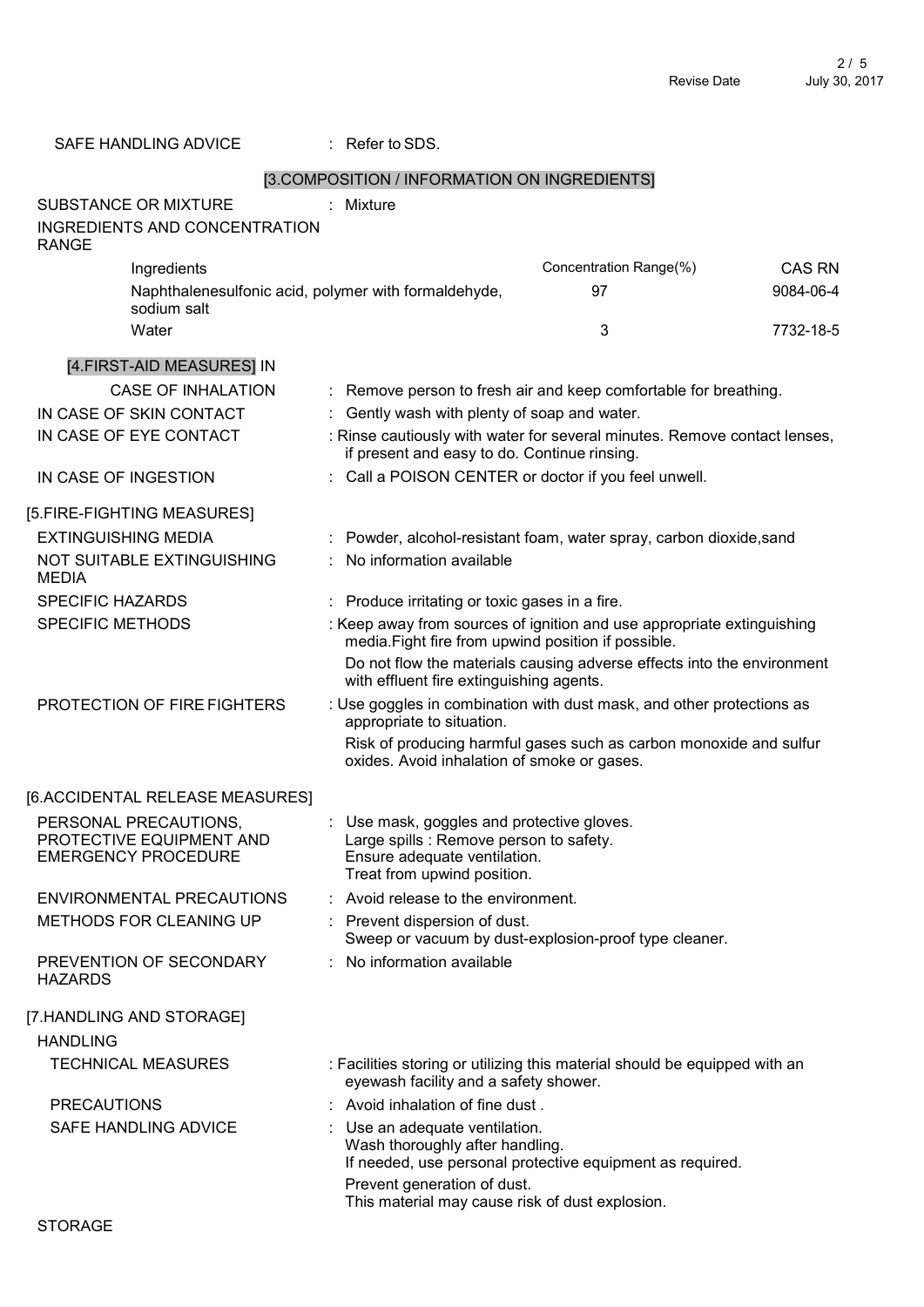| SAFE HANDLING ADVICE                                                           | $:$ Refer to SDS.                                                                                                                                  |                                                                            |               |
|--------------------------------------------------------------------------------|----------------------------------------------------------------------------------------------------------------------------------------------------|----------------------------------------------------------------------------|---------------|
|                                                                                | [3.COMPOSITION / INFORMATION ON INGREDIENTS]                                                                                                       |                                                                            |               |
| <b>SUBSTANCE OR MIXTURE</b>                                                    | : Mixture                                                                                                                                          |                                                                            |               |
| <b>INGREDIENTS AND CONCENTRATION</b><br><b>RANGE</b>                           |                                                                                                                                                    |                                                                            |               |
| Ingredients                                                                    |                                                                                                                                                    | Concentration Range(%)                                                     | <b>CAS RN</b> |
| Naphthalenesulfonic acid, polymer with formaldehyde,<br>sodium salt            |                                                                                                                                                    | 97                                                                         | 9084-06-4     |
| Water                                                                          |                                                                                                                                                    | 3                                                                          | 7732-18-5     |
| [4.FIRST-AID MEASURES] IN                                                      |                                                                                                                                                    |                                                                            |               |
| <b>CASE OF INHALATION</b>                                                      |                                                                                                                                                    | : Remove person to fresh air and keep comfortable for breathing.           |               |
| IN CASE OF SKIN CONTACT                                                        | Gently wash with plenty of soap and water.                                                                                                         |                                                                            |               |
| IN CASE OF EYE CONTACT                                                         | if present and easy to do. Continue rinsing.                                                                                                       | : Rinse cautiously with water for several minutes. Remove contact lenses,  |               |
| IN CASE OF INGESTION                                                           | : Call a POISON CENTER or doctor if you feel unwell.                                                                                               |                                                                            |               |
| [5.FIRE-FIGHTING MEASURES]                                                     |                                                                                                                                                    |                                                                            |               |
| <b>EXTINGUISHING MEDIA</b>                                                     |                                                                                                                                                    | : Powder, alcohol-resistant foam, water spray, carbon dioxide, sand        |               |
| NOT SUITABLE EXTINGUISHING<br><b>MEDIA</b>                                     | No information available                                                                                                                           |                                                                            |               |
| <b>SPECIFIC HAZARDS</b>                                                        | : Produce irritating or toxic gases in a fire.                                                                                                     |                                                                            |               |
| SPECIFIC METHODS                                                               | media. Fight fire from upwind position if possible.                                                                                                | : Keep away from sources of ignition and use appropriate extinguishing     |               |
|                                                                                | with effluent fire extinguishing agents.                                                                                                           | Do not flow the materials causing adverse effects into the environment     |               |
| PROTECTION OF FIRE FIGHTERS                                                    | appropriate to situation.                                                                                                                          | : Use goggles in combination with dust mask, and other protections as      |               |
|                                                                                | oxides. Avoid inhalation of smoke or gases.                                                                                                        | Risk of producing harmful gases such as carbon monoxide and sulfur         |               |
| [6.ACCIDENTAL RELEASE MEASURES]                                                |                                                                                                                                                    |                                                                            |               |
| PERSONAL PRECAUTIONS<br>PROTECTIVE EQUIPMENT AND<br><b>EMERGENCY PROCEDURE</b> | Use mask, goggles and protective gloves.<br>Large spills : Remove person to safety.<br>Ensure adequate ventilation.<br>Treat from upwind position. |                                                                            |               |
| ENVIRONMENTAL PRECAUTIONS                                                      | Avoid release to the environment.                                                                                                                  |                                                                            |               |
| METHODS FOR CLEANING UP                                                        | Prevent dispersion of dust.                                                                                                                        | Sweep or vacuum by dust-explosion-proof type cleaner.                      |               |
| PREVENTION OF SECONDARY<br><b>HAZARDS</b>                                      | No information available                                                                                                                           |                                                                            |               |
| [7.HANDLING AND STORAGE]                                                       |                                                                                                                                                    |                                                                            |               |
| <b>HANDLING</b>                                                                |                                                                                                                                                    |                                                                            |               |
| <b>TECHNICAL MEASURES</b>                                                      | eyewash facility and a safety shower.                                                                                                              | : Facilities storing or utilizing this material should be equipped with an |               |
| <b>PRECAUTIONS</b>                                                             | : Avoid inhalation of fine dust.                                                                                                                   |                                                                            |               |
| SAFE HANDLING ADVICE                                                           | Use an adequate ventilation.<br>Wash thoroughly after handling.                                                                                    | If needed, use personal protective equipment as required.                  |               |
|                                                                                | Prevent generation of dust.<br>This material may cause risk of dust explosion.                                                                     |                                                                            |               |
| <b>STORAGE</b>                                                                 |                                                                                                                                                    |                                                                            |               |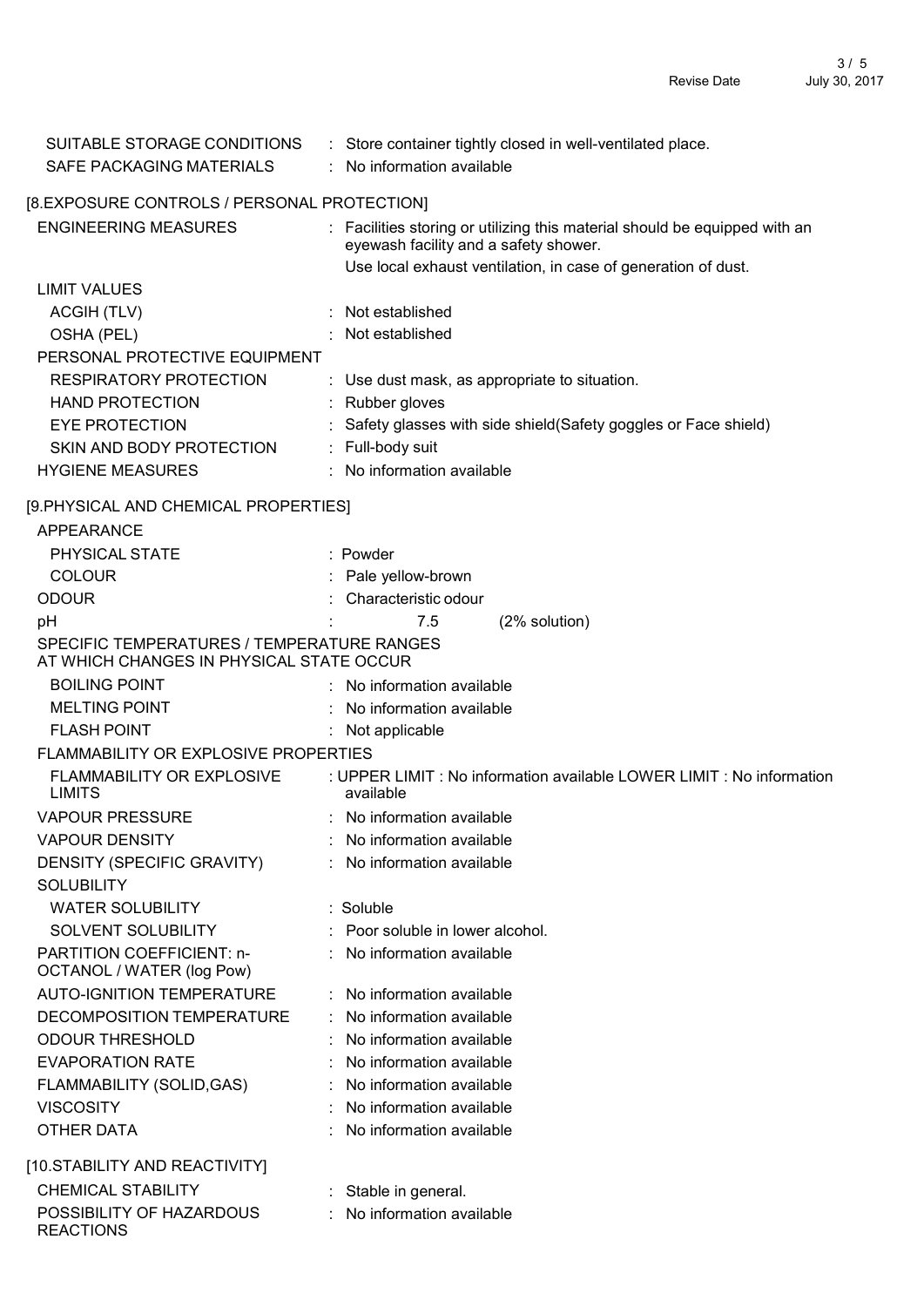| SUITABLE STORAGE CONDITIONS                                                            | : Store container tightly closed in well-ventilated place.                                                          |
|----------------------------------------------------------------------------------------|---------------------------------------------------------------------------------------------------------------------|
| SAFE PACKAGING MATERIALS                                                               | : No information available                                                                                          |
| [8.EXPOSURE CONTROLS / PERSONAL PROTECTION]                                            |                                                                                                                     |
| <b>ENGINEERING MEASURES</b>                                                            | : Facilities storing or utilizing this material should be equipped with an<br>eyewash facility and a safety shower. |
|                                                                                        | Use local exhaust ventilation, in case of generation of dust.                                                       |
| <b>LIMIT VALUES</b>                                                                    |                                                                                                                     |
| <b>ACGIH (TLV)</b>                                                                     | Not established                                                                                                     |
| OSHA (PEL)                                                                             | : Not established                                                                                                   |
| PERSONAL PROTECTIVE EQUIPMENT                                                          |                                                                                                                     |
| RESPIRATORY PROTECTION                                                                 | : Use dust mask, as appropriate to situation.                                                                       |
| <b>HAND PROTECTION</b>                                                                 | : Rubber gloves                                                                                                     |
| <b>EYE PROTECTION</b>                                                                  | Safety glasses with side shield (Safety goggles or Face shield)                                                     |
| SKIN AND BODY PROTECTION                                                               | : Full-body suit                                                                                                    |
| <b>HYGIENE MEASURES</b>                                                                | : No information available                                                                                          |
| [9.PHYSICAL AND CHEMICAL PROPERTIES]                                                   |                                                                                                                     |
| <b>APPEARANCE</b>                                                                      |                                                                                                                     |
| PHYSICAL STATE                                                                         | : Powder                                                                                                            |
| <b>COLOUR</b>                                                                          | : Pale yellow-brown                                                                                                 |
| <b>ODOUR</b>                                                                           | Characteristic odour                                                                                                |
| pH                                                                                     | 7.5<br>(2% solution)                                                                                                |
| SPECIFIC TEMPERATURES / TEMPERATURE RANGES<br>AT WHICH CHANGES IN PHYSICAL STATE OCCUR |                                                                                                                     |
| <b>BOILING POINT</b>                                                                   | : No information available                                                                                          |
| <b>MELTING POINT</b>                                                                   | : No information available                                                                                          |
| <b>FLASH POINT</b>                                                                     | Not applicable                                                                                                      |
| FLAMMABILITY OR EXPLOSIVE PROPERTIES                                                   |                                                                                                                     |
| FLAMMABILITY OR EXPLOSIVE<br><b>LIMITS</b>                                             | : UPPER LIMIT : No information available LOWER LIMIT : No information<br>available                                  |
| <b>VAPOUR PRESSURE</b>                                                                 | : No information available                                                                                          |
| <b>VAPOUR DENSITY</b>                                                                  | No information available                                                                                            |
| DENSITY (SPECIFIC GRAVITY)                                                             | No information available                                                                                            |
| <b>SOLUBILITY</b>                                                                      |                                                                                                                     |
| <b>WATER SOLUBILITY</b>                                                                | : Soluble                                                                                                           |
| SOLVENT SOLUBILITY                                                                     | Poor soluble in lower alcohol.                                                                                      |
| PARTITION COEFFICIENT: n-<br>OCTANOL / WATER (log Pow)                                 | : No information available                                                                                          |
| <b>AUTO-IGNITION TEMPERATURE</b>                                                       | No information available                                                                                            |
| DECOMPOSITION TEMPERATURE                                                              | : No information available                                                                                          |
| <b>ODOUR THRESHOLD</b>                                                                 | No information available                                                                                            |
| <b>EVAPORATION RATE</b>                                                                | No information available                                                                                            |
| FLAMMABILITY (SOLID, GAS)                                                              | No information available                                                                                            |
| <b>VISCOSITY</b>                                                                       | No information available                                                                                            |
| OTHER DATA                                                                             | No information available                                                                                            |
| [10.STABILITY AND REACTIVITY]                                                          |                                                                                                                     |
| <b>CHEMICAL STABILITY</b>                                                              | Stable in general.                                                                                                  |
| POSSIBILITY OF HAZARDOUS                                                               | No information available                                                                                            |

REACTIONS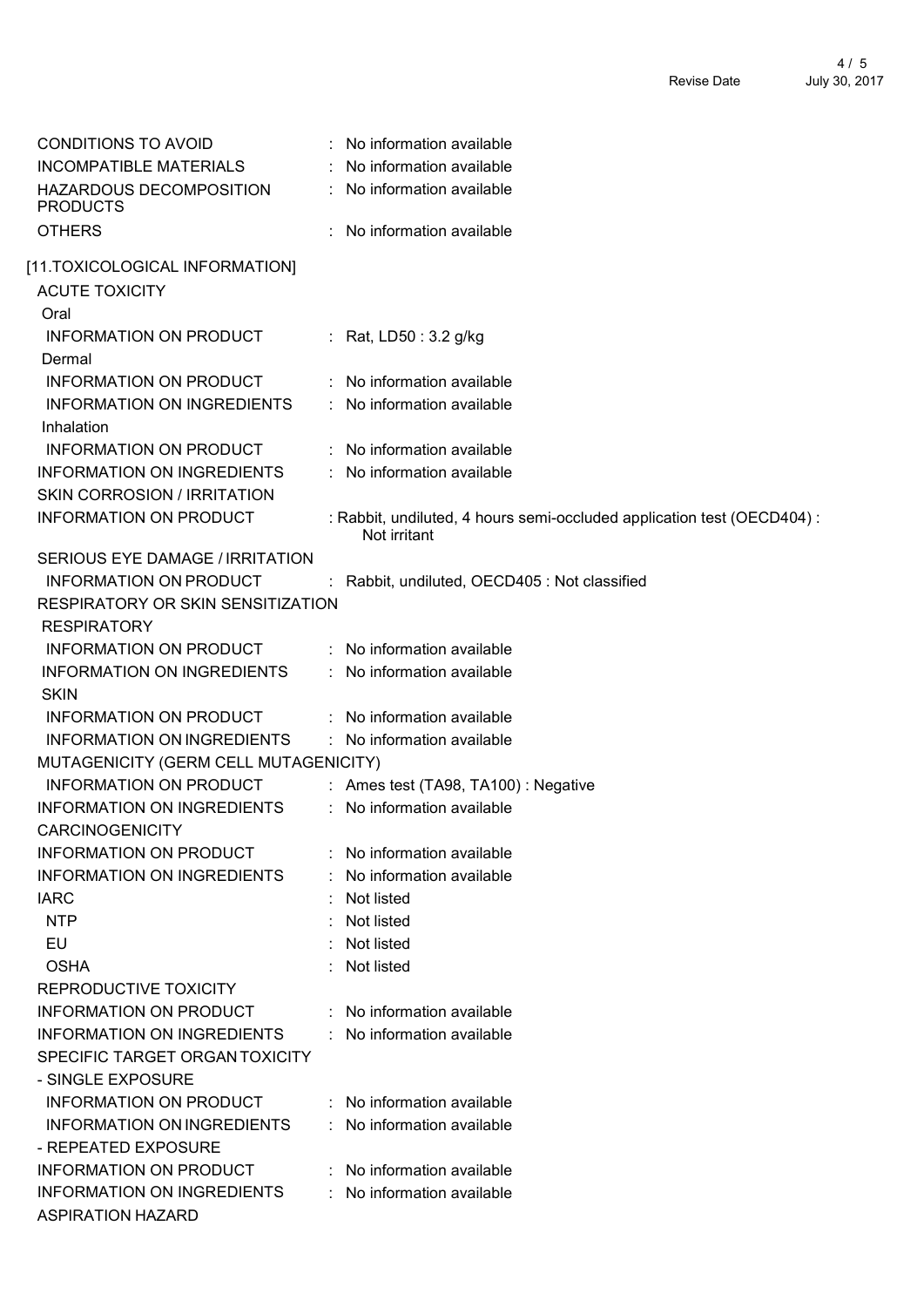| <b>CONDITIONS TO AVOID</b>                 | : No information available                                              |
|--------------------------------------------|-------------------------------------------------------------------------|
| INCOMPATIBLE MATERIALS                     | No information available                                                |
| HAZARDOUS DECOMPOSITION<br><b>PRODUCTS</b> | : No information available                                              |
| <b>OTHERS</b>                              | No information available                                                |
| [11.TOXICOLOGICAL INFORMATION]             |                                                                         |
|                                            |                                                                         |
| <b>ACUTE TOXICITY</b><br>Oral              |                                                                         |
|                                            |                                                                         |
| INFORMATION ON PRODUCT<br>Dermal           | : Rat, LD50 : $3.2$ g/kg                                                |
| <b>INFORMATION ON PRODUCT</b>              | : No information available                                              |
| <b>INFORMATION ON INGREDIENTS</b>          | : No information available                                              |
| Inhalation                                 |                                                                         |
| <b>INFORMATION ON PRODUCT</b>              | : No information available                                              |
| INFORMATION ON INGREDIENTS                 | : No information available                                              |
| <b>SKIN CORROSION / IRRITATION</b>         |                                                                         |
| <b>INFORMATION ON PRODUCT</b>              | : Rabbit, undiluted, 4 hours semi-occluded application test (OECD404) : |
|                                            | Not irritant                                                            |
| SERIOUS EYE DAMAGE / IRRITATION            |                                                                         |
| INFORMATION ON PRODUCT                     | : Rabbit, undiluted, OECD405 : Not classified                           |
| RESPIRATORY OR SKIN SENSITIZATION          |                                                                         |
| <b>RESPIRATORY</b>                         |                                                                         |
| INFORMATION ON PRODUCT                     | : No information available                                              |
| <b>INFORMATION ON INGREDIENTS</b>          | : No information available                                              |
| <b>SKIN</b>                                |                                                                         |
| <b>INFORMATION ON PRODUCT</b>              | : No information available                                              |
| <b>INFORMATION ON INGREDIENTS</b>          | : No information available                                              |
| MUTAGENICITY (GERM CELL MUTAGENICITY)      |                                                                         |
| <b>INFORMATION ON PRODUCT</b>              | : Ames test (TA98, TA100) : Negative                                    |
| INFORMATION ON INGREDIENTS                 | No information available<br>÷.                                          |
| <b>CARCINOGENICITY</b>                     |                                                                         |
| <b>INFORMATION ON PRODUCT</b>              | : No information available                                              |
| <b>INFORMATION ON INGREDIENTS</b>          | No information available                                                |
| <b>IARC</b>                                | : Not listed                                                            |
| <b>NTP</b>                                 | Not listed                                                              |
| EU                                         | Not listed                                                              |
| <b>OSHA</b>                                | Not listed                                                              |
| REPRODUCTIVE TOXICITY                      |                                                                         |
| <b>INFORMATION ON PRODUCT</b>              | : No information available                                              |
| <b>INFORMATION ON INGREDIENTS</b>          | : No information available                                              |
| SPECIFIC TARGET ORGAN TOXICITY             |                                                                         |
| - SINGLE EXPOSURE                          |                                                                         |
| <b>INFORMATION ON PRODUCT</b>              | : No information available                                              |
| <b>INFORMATION ON INGREDIENTS</b>          | No information available                                                |
| - REPEATED EXPOSURE                        |                                                                         |
| INFORMATION ON PRODUCT                     | : No information available                                              |
| <b>INFORMATION ON INGREDIENTS</b>          | : No information available                                              |
| <b>ASPIRATION HAZARD</b>                   |                                                                         |